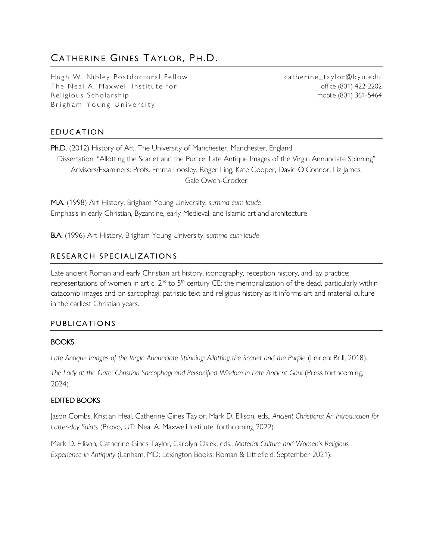# CATHERINE GINES TAYLOR, PH.D.

Hugh W. Nibley Postdoctoral Fellow The Neal A. Maxwell Institute for Religious Scholarship Brigham Young University

catherine\_taylor@byu.edu office (801) 422-2202 mobile (801) 361-5464

# EDUCATION

Ph.D. (2012) History of Art, The University of Manchester, Manchester, England. Dissertation: "Allotting the Scarlet and the Purple: Late Antique Images of the Virgin Annunciate Spinning" Advisors/Examiners: Profs. Emma Loosley, Roger Ling, Kate Cooper, David O'Connor, Liz James, Gale Owen-Crocker

M.A. (1998) Art History, Brigham Young University, *summa cum laude* Emphasis in early Christian, Byzantine, early Medieval, and Islamic art and architecture

B.A. (1996) Art History, Brigham Young University, *summa cum laude*

# RESEARCH SPECIALIZATIONS

Late ancient Roman and early Christian art history, iconography, reception history, and lay practice; representations of women in art c. 2<sup>nd</sup> to 5<sup>th</sup> century CE; the memorialization of the dead, particularly within catacomb images and on sarcophagi; patristic text and religious history as it informs art and material culture in the earliest Christian years.

#### **PUBLICATIONS**

#### **BOOKS**

Late Antique Images of the Virgin Annunciate Spinning: Allotting the Scarlet and the Purple (Leiden: Brill, 2018).

*The Lady at the Gate: Christian Sarcophagi and Personified Wisdom in Late Ancient Gaul* (Press forthcoming, 2024).

#### EDITED BOOKS

Jason Combs, Kristian Heal, Catherine Gines Taylor, Mark D. Ellison, eds., *Ancient Christians: An Introduction for Latter-day Saints* (Provo, UT: Neal A. Maxwell Institute, forthcoming 2022).

Mark D. Ellison, Catherine Gines Taylor, Carolyn Osiek, eds., *Material Culture and Women's Religious Experience in Antiquity* (Lanham, MD: Lexington Books; Roman & Littlefield, September 2021).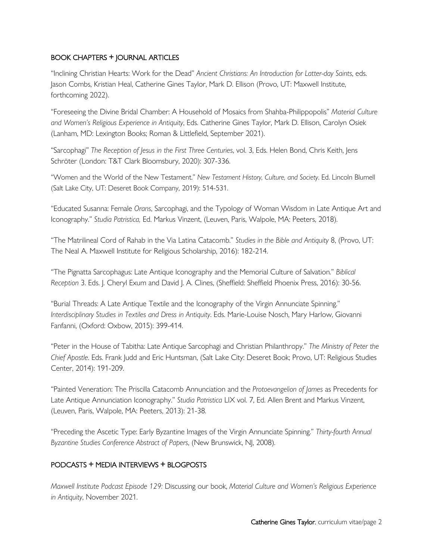#### BOOK CHAPTERS + JOURNAL ARTICLES

"Inclining Christian Hearts: Work for the Dead" *Ancient Christians: An Introduction for Latter-day Saints*, eds. Jason Combs, Kristian Heal, Catherine Gines Taylor, Mark D. Ellison (Provo, UT: Maxwell Institute, forthcoming 2022).

"Foreseeing the Divine Bridal Chamber: A Household of Mosaics from Shahba-Philippopolis" *Material Culture and Women's Religious Experience in Antiquity*, Eds. Catherine Gines Taylor, Mark D. Ellison, Carolyn Osiek (Lanham, MD: Lexington Books; Roman & Littlefield, September 2021).

"Sarcophagi" *The Reception of Jesus in the First Three Centuries*, vol. 3, Eds. Helen Bond, Chris Keith, Jens Schröter (London: T&T Clark Bloomsbury, 2020): 307-336.

"Women and the World of the New Testament." *New Testament History, Culture, and Society*. Ed. Lincoln Blumell (Salt Lake City, UT: Deseret Book Company, 2019): 514-531.

"Educated Susanna: Female *Orans*, Sarcophagi, and the Typology of Woman Wisdom in Late Antique Art and Iconography." *Studia Patristica,* Ed. Markus Vinzent, (Leuven, Paris, Walpole, MA: Peeters, 2018).

"The Matrilineal Cord of Rahab in the Via Latina Catacomb." *Studies in the Bible and Antiquity* 8, (Provo, UT: The Neal A. Maxwell Institute for Religious Scholarship, 2016): 182-214.

"The Pignatta Sarcophagus: Late Antique Iconography and the Memorial Culture of Salvation." *Biblical Reception* 3. Eds. J. Cheryl Exum and David J. A. Clines, (Sheffield: Sheffield Phoenix Press, 2016): 30-56.

"Burial Threads: A Late Antique Textile and the Iconography of the Virgin Annunciate Spinning." *Interdisciplinary Studies in Textiles and Dress in Antiquity*. Eds. Marie-Louise Nosch, Mary Harlow, Giovanni Fanfanni, (Oxford: Oxbow, 2015): 399-414.

"Peter in the House of Tabitha: Late Antique Sarcophagi and Christian Philanthropy." *The Ministry of Peter the Chief Apostle*. Eds. Frank Judd and Eric Huntsman, (Salt Lake City: Deseret Book; Provo, UT: Religious Studies Center, 2014): 191-209.

"Painted Veneration: The Priscilla Catacomb Annunciation and the *Protoevangelion of James* as Precedents for Late Antique Annunciation Iconography." *Studia Patristica* LIX vol. 7, Ed. Allen Brent and Markus Vinzent, (Leuven, Paris, Walpole, MA: Peeters, 2013): 21-38.

"Preceding the Ascetic Type: Early Byzantine Images of the Virgin Annunciate Spinning." *Thirty-fourth Annual Byzantine Studies Conference Abstract of Papers*, (New Brunswick, NJ, 2008).

# PODCASTS + MEDIA INTERVIEWS + BLOGPOSTS

*Maxwell Institute Podcast Episode 129:* Discussing our book, *Material Culture and Women's Religious Experience in Antiquity*, November 2021.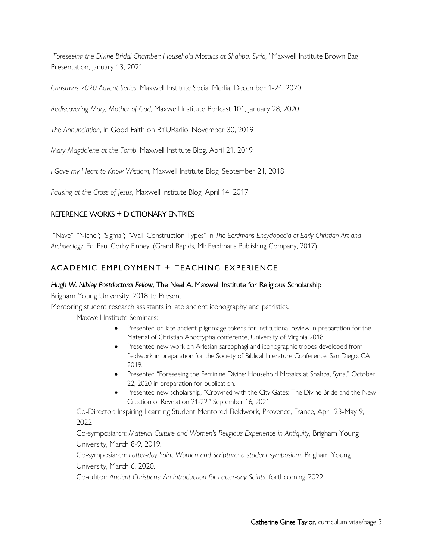*"Foreseeing the Divine Bridal Chamber: Household Mosaics at Shahba, Syria,"* Maxwell Institute Brown Bag Presentation, January 13, 2021.

*Christmas 2020 Advent Series*, Maxwell Institute Social Media, December 1-24, 2020

*Rediscovering Mary, Mother of God,* Maxwell Institute Podcast 101, January 28, 2020

*The Annunciation*, In Good Faith on BYURadio, November 30, 2019

*Mary Magdalene at the Tomb*, Maxwell Institute Blog, April 21, 2019

*I Gave my Heart to Know Wisdom*, Maxwell Institute Blog, September 21, 2018

*Pausing at the Cross of Jesus*, Maxwell Institute Blog, April 14, 2017

## REFERENCE WORKS + DICTIONARY ENTRIES

"Nave"; "Niche"; "Sigma"; "Wall: Construction Types" in *The Eerdmans Encyclopedia of Early Christian Art and Archaeology*. Ed. Paul Corby Finney, (Grand Rapids, MI: Eerdmans Publishing Company, 2017).

# ACADEMIC EMPLOYMENT + TEACHING EXPERIENCE

#### *Hugh W. Nibley Postdoctoral Fellow*, The Neal A. Maxwell Institute for Religious Scholarship

Brigham Young University, 2018 to Present

Mentoring student research assistants in late ancient iconography and patristics.

Maxwell Institute Seminars:

- Presented on late ancient pilgrimage tokens for institutional review in preparation for the Material of Christian Apocrypha conference, University of Virginia 2018.
- Presented new work on Arlesian sarcophagi and iconographic tropes developed from fieldwork in preparation for the Society of Biblical Literature Conference, San Diego, CA 2019.
- Presented "Foreseeing the Feminine Divine: Household Mosaics at Shahba, Syria," October 22, 2020 in preparation for publication.
- Presented new scholarship, "Crowned with the City Gates: The Divine Bride and the New Creation of Revelation 21-22," September 16, 2021

Co-Director: Inspiring Learning Student Mentored Fieldwork, Provence, France, April 23-May 9, 2022

Co-symposiarch: *Material Culture and Women's Religious Experience in Antiquity*, Brigham Young University, March 8-9, 2019.

Co-symposiarch: *Latter-day Saint Women and Scripture: a student symposium*, Brigham Young University, March 6, 2020.

Co-editor: *Ancient Christians: An Introduction for Latter-day Saints*, forthcoming 2022.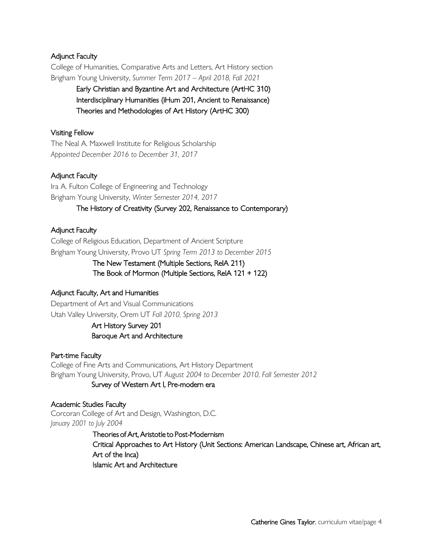## Adjunct Faculty

College of Humanities, Comparative Arts and Letters, Art History section Brigham Young University, *Summer Term 2017 – April 2018, Fall 2021*

> Early Christian and Byzantine Art and Architecture (ArtHC 310) Interdisciplinary Humanities (iHum 201, Ancient to Renaissance) Theories and Methodologies of Art History (ArtHC 300)

#### Visiting Fellow

The Neal A. Maxwell Institute for Religious Scholarship *Appointed December 2016 to December 31, 2017*

#### Adjunct Faculty

Ira A. Fulton College of Engineering and Technology Brigham Young University, *Winter Semester 2014, 2017*

#### The History of Creativity (Survey 202, Renaissance to Contemporary)

#### Adjunct Faculty

College of Religious Education, Department of Ancient Scripture Brigham Young University, Provo UT *Spring Term 2013 to December 2015*

#### The New Testament (Multiple Sections, RelA 211) The Book of Mormon (Multiple Sections, RelA 121 + 122)

#### Adjunct Faculty, Art and Humanities

Department of Art and Visual Communications Utah Valley University, Orem UT *Fall 2010, Spring 2013*

## Art History Survey 201 Baroque Art and Architecture

#### Part-time Faculty

College of Fine Arts and Communications, Art History Department Brigham Young University, Provo, UT *August 2004 to December 2010, Fall Semester 2012*

## Survey of Western Art I, Pre-modern era

Academic Studies Faculty Corcoran College of Art and Design, Washington, D.C. *January 2001 to July 2004*

> Theories of Art, Aristotle to Post-Modernism Critical Approaches to Art History (Unit Sections: American Landscape, Chinese art, African art, Art of the Inca) Islamic Art and Architecture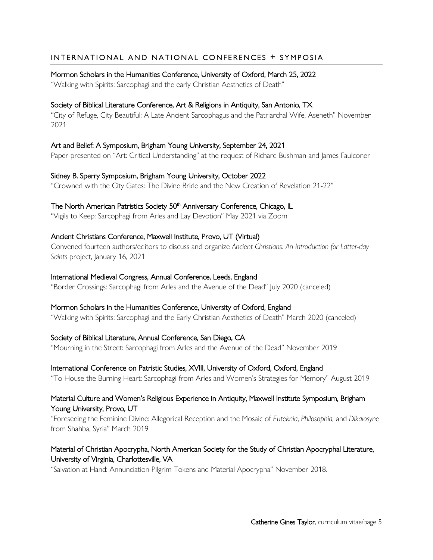# INTERNATIONAL AND NATIONAL CONFERENCES + SYMPOSIA

#### Mormon Scholars in the Humanities Conference, University of Oxford, March 25, 2022

"Walking with Spirits: Sarcophagi and the early Christian Aesthetics of Death"

## Society of Biblical Literature Conference, Art & Religions in Antiquity, San Antonio, TX

"City of Refuge, City Beautiful: A Late Ancient Sarcophagus and the Patriarchal Wife, Aseneth" November 2021

## Art and Belief: A Symposium, Brigham Young University, September 24, 2021

Paper presented on "Art: Critical Understanding" at the request of Richard Bushman and James Faulconer

Sidney B. Sperry Symposium, Brigham Young University, October 2022 "Crowned with the City Gates: The Divine Bride and the New Creation of Revelation 21-22"

#### The North American Patristics Society 50<sup>th</sup> Anniversary Conference, Chicago, IL

"Vigils to Keep: Sarcophagi from Arles and Lay Devotion" May 2021 via Zoom

## Ancient Christians Conference, Maxwell Institute, Provo, UT (Virtual)

Convened fourteen authors/editors to discuss and organize *Ancient Christians: An Introduction for Latter-day Saints* project, January 16, 2021

#### International Medieval Congress, Annual Conference, Leeds, England

"Border Crossings: Sarcophagi from Arles and the Avenue of the Dead" July 2020 (canceled)

#### Mormon Scholars in the Humanities Conference, University of Oxford, England

"Walking with Spirits: Sarcophagi and the Early Christian Aesthetics of Death" March 2020 (canceled)

#### Society of Biblical Literature, Annual Conference, San Diego, CA

"Mourning in the Street: Sarcophagi from Arles and the Avenue of the Dead" November 2019

#### International Conference on Patristic Studies, XVIII, University of Oxford, Oxford, England

"To House the Burning Heart: Sarcophagi from Arles and Women's Strategies for Memory" August 2019

#### Material Culture and Women's Religious Experience in Antiquity, Maxwell Institute Symposium, Brigham Young University, Provo, UT

"Foreseeing the Feminine Divine: Allegorical Reception and the Mosaic of *Euteknia*, *Philosophia,* and *Dikaiosyne* from Shahba, Syria" March 2019

# Material of Christian Apocrypha, North American Society for the Study of Christian Apocryphal Literature, University of Virginia, Charlottesville, VA

"Salvation at Hand: Annunciation Pilgrim Tokens and Material Apocrypha" November 2018.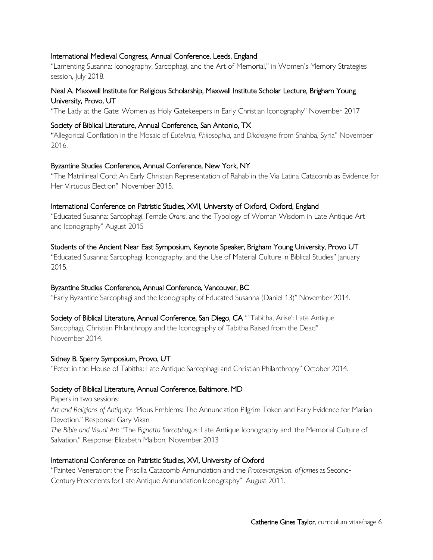#### International Medieval Congress, Annual Conference, Leeds, England

"Lamenting Susanna: Iconography, Sarcophagi, and the Art of Memorial," in Women's Memory Strategies session, July 2018.

## Neal A. Maxwell Institute for Religious Scholarship, Maxwell Institute Scholar Lecture, Brigham Young University, Provo, UT

"The Lady at the Gate: Women as Holy Gatekeepers in Early Christian Iconography" November 2017

#### Society of Biblical Literature, Annual Conference, San Antonio, TX

"Allegorical Conflation in the Mosaic of *Euteknia*, *Philosophia*, and *Dikaiosyne* from Shahba, Syria" November 2016.

#### Byzantine Studies Conference, Annual Conference, New York, NY

"The Matrilineal Cord: An Early Christian Representation of Rahab in the Via Latina Catacomb as Evidence for Her Virtuous Election" November 2015.

#### International Conference on Patristic Studies, XVII, University of Oxford, Oxford, England

"Educated Susanna: Sarcophagi, Female *Orans*, and the Typology of Woman Wisdom in Late Antique Art and Iconography" August 2015

#### Students of the Ancient Near East Symposium, Keynote Speaker, Brigham Young University, Provo UT

"Educated Susanna: Sarcophagi, Iconography, and the Use of Material Culture in Biblical Studies" January 2015.

#### Byzantine Studies Conference, Annual Conference, Vancouver, BC

"Early Byzantine Sarcophagi and the Iconography of Educated Susanna (Daniel 13)" November 2014.

#### Society of Biblical Literature, Annual Conference, San Diego, CA "`Tabitha, Arise': Late Antique

Sarcophagi, Christian Philanthropy and the Iconography of Tabitha Raised from the Dead" November 2014.

#### Sidney B. Sperry Symposium, Provo, UT

"Peter in the House of Tabitha: Late Antique Sarcophagi and Christian Philanthropy" October 2014.

#### Society of Biblical Literature, Annual Conference, Baltimore, MD

Papers in two sessions: *Art and Religions of Antiquity*: "Pious Emblems: The Annunciation Pilgrim Token and Early Evidence for Marian Devotion." Response: Gary Vikan *The Bible and Visual Art*: "The *Pignatta Sarcophagus*: Late Antique Iconography and the Memorial Culture of Salvation." Response: Elizabeth Malbon, November 2013

#### International Conference on Patristic Studies, XVI, University of Oxford

"Painted Veneration: the Priscilla Catacomb Annunciation and the *Protoevangelion. of James* as Second-Century Precedents for Late Antique Annunciation Iconography" August 2011.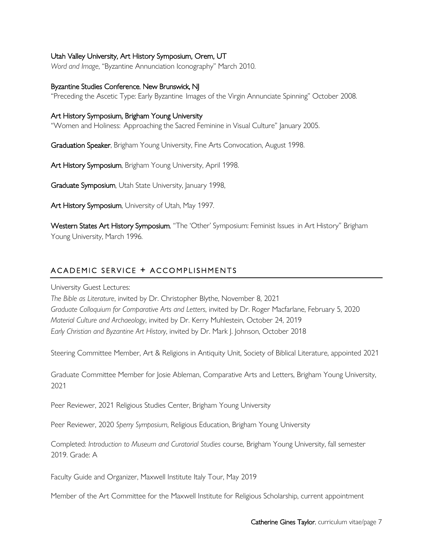#### Utah Valley University, Art History Symposium, Orem, UT

*Word and Image*, "Byzantine Annunciation Iconography" March 2010.

#### Byzantine Studies Conference, New Brunswick, NJ

"Preceding the Ascetic Type: Early Byzantine Images of the Virgin Annunciate Spinning" October 2008.

#### Art History Symposium, Brigham Young University

"Women and Holiness: Approaching the Sacred Feminine in Visual Culture" January 2005.

Graduation Speaker, Brigham Young University, Fine Arts Convocation, August 1998.

Art History Symposium, Brigham Young University, April 1998.

Graduate Symposium, Utah State University, January 1998,

Art History Symposium, University of Utah, May 1997.

Western States Art History Symposium, "The 'Other' Symposium: Feminist Issues in Art History" Brigham Young University, March 1996.

## ACADEMIC SERVICE + ACCOMPLISHMENTS

University Guest Lectures:

*The Bible as Literature*, invited by Dr. Christopher Blythe, November 8, 2021 *Graduate Colloquium for Comparative Arts and Letters*, invited by Dr. Roger Macfarlane, February 5, 2020 *Material Culture and Archaeology*, invited by Dr. Kerry Muhlestein, October 24, 2019 *Early Christian and Byzantine Art History*, invited by Dr. Mark J. Johnson, October 2018

Steering Committee Member, Art & Religions in Antiquity Unit, Society of Biblical Literature, appointed 2021

Graduate Committee Member for Josie Ableman, Comparative Arts and Letters, Brigham Young University, 2021

Peer Reviewer, 2021 Religious Studies Center, Brigham Young University

Peer Reviewer, 2020 *Sperry Symposium*, Religious Education, Brigham Young University

Completed: *Introduction to Museum and Curatorial Studies* course, Brigham Young University, fall semester 2019. Grade: A

Faculty Guide and Organizer, Maxwell Institute Italy Tour, May 2019

Member of the Art Committee for the Maxwell Institute for Religious Scholarship, current appointment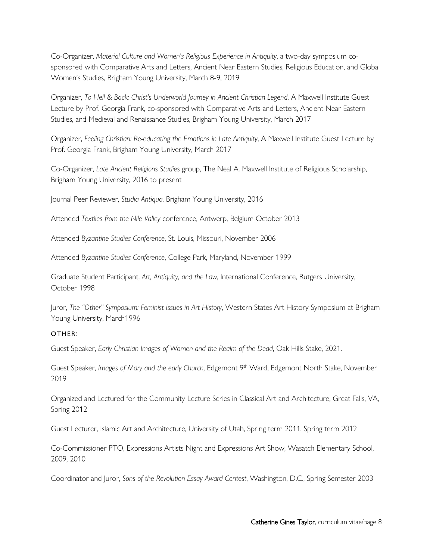Co-Organizer, *Material Culture and Women's Religious Experience in Antiquity*, a two-day symposium cosponsored with Comparative Arts and Letters, Ancient Near Eastern Studies, Religious Education, and Global Women's Studies, Brigham Young University, March 8-9, 2019

Organizer, *To Hell & Back: Christ's Underworld Journey in Ancient Christian Legend*, A Maxwell Institute Guest Lecture by Prof. Georgia Frank, co-sponsored with Comparative Arts and Letters, Ancient Near Eastern Studies, and Medieval and Renaissance Studies, Brigham Young University, March 2017

Organizer, *Feeling Christian: Re-educating the Emotions in Late Antiquity*, A Maxwell Institute Guest Lecture by Prof. Georgia Frank, Brigham Young University, March 2017

Co-Organizer, *Late Ancient Religions Studies* group, The Neal A. Maxwell Institute of Religious Scholarship, Brigham Young University, 2016 to present

Journal Peer Reviewer, *Studia Antiqua*, Brigham Young University, 2016

Attended *Textiles from the Nile Valley* conference, Antwerp, Belgium October 2013

Attended *Byzantine Studies Conference*, St. Louis, Missouri, November 2006

Attended *Byzantine Studies Conference*, College Park, Maryland, November 1999

Graduate Student Participant, *Art, Antiquity, and the Law*, International Conference, Rutgers University, October 1998

Juror, *The "Other" Symposium: Feminist Issues in Art History*, Western States Art History Symposium at Brigham Young University, March1996

#### OTHER :

Guest Speaker, *Early Christian Images of Women and the Realm of the Dead*, Oak Hills Stake, 2021.

Guest Speaker, *Images of Mary and the early Church*, Edgemont 9th Ward, Edgemont North Stake, November 2019

Organized and Lectured for the Community Lecture Series in Classical Art and Architecture, Great Falls, VA, Spring 2012

Guest Lecturer, Islamic Art and Architecture, University of Utah, Spring term 2011, Spring term 2012

Co-Commissioner PTO, Expressions Artists Night and Expressions Art Show, Wasatch Elementary School, 2009, 2010

Coordinator and Juror, *Sons of the Revolution Essay Award Contest*, Washington, D.C., Spring Semester 2003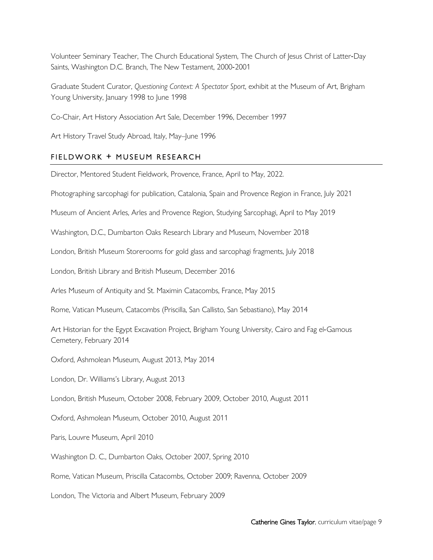Volunteer Seminary Teacher, The Church Educational System, The Church of Jesus Christ of Latter-Day Saints, Washington D.C. Branch, The New Testament, 2000-2001

Graduate Student Curator, *Questioning Context: A Spectator Sport*, exhibit at the Museum of Art, Brigham Young University, January 1998 to June 1998

Co-Chair, Art History Association Art Sale, December 1996, December 1997

Art History Travel Study Abroad, Italy, May–June 1996

#### FIELDWORK + MUSEUM RESEARCH

Director, Mentored Student Fieldwork, Provence, France, April to May, 2022.

Photographing sarcophagi for publication, Catalonia, Spain and Provence Region in France, July 2021

Museum of Ancient Arles, Arles and Provence Region, Studying Sarcophagi, April to May 2019

Washington, D.C., Dumbarton Oaks Research Library and Museum, November 2018

London, British Museum Storerooms for gold glass and sarcophagi fragments, July 2018

London, British Library and British Museum, December 2016

Arles Museum of Antiquity and St. Maximin Catacombs, France, May 2015

Rome, Vatican Museum, Catacombs (Priscilla, San Callisto, San Sebastiano), May 2014

Art Historian for the Egypt Excavation Project, Brigham Young University, Cairo and Fag el-Gamous Cemetery, February 2014

Oxford, Ashmolean Museum, August 2013, May 2014

London, Dr. Williams's Library, August 2013

London, British Museum, October 2008, February 2009, October 2010, August 2011

Oxford, Ashmolean Museum, October 2010, August 2011

Paris, Louvre Museum, April 2010

Washington D. C., Dumbarton Oaks, October 2007, Spring 2010

Rome, Vatican Museum, Priscilla Catacombs, October 2009; Ravenna, October 2009

London, The Victoria and Albert Museum, February 2009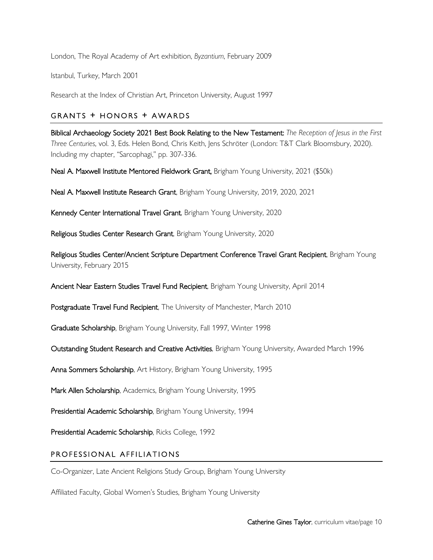London, The Royal Academy of Art exhibition, *Byzantium*, February 2009

Istanbul, Turkey, March 2001

Research at the Index of Christian Art, Princeton University, August 1997

## GRANTS + HONORS + AWARDS

Biblical Archaeology Society 2021 Best Book Relating to the New Testament: *The Reception of Jesus in the First Three Centuries*, vol. 3, Eds. Helen Bond, Chris Keith, Jens Schröter (London: T&T Clark Bloomsbury, 2020). Including my chapter, "Sarcophagi," pp. 307-336.

Neal A. Maxwell Institute Mentored Fieldwork Grant, Brigham Young University, 2021 (\$50k)

Neal A. Maxwell Institute Research Grant, Brigham Young University, 2019, 2020, 2021

Kennedy Center International Travel Grant, Brigham Young University, 2020

Religious Studies Center Research Grant, Brigham Young University, 2020

Religious Studies Center/Ancient Scripture Department Conference Travel Grant Recipient, Brigham Young University, February 2015

Ancient Near Eastern Studies Travel Fund Recipient, Brigham Young University, April 2014

Postgraduate Travel Fund Recipient, The University of Manchester, March 2010

Graduate Scholarship, Brigham Young University, Fall 1997, Winter 1998

Outstanding Student Research and Creative Activities, Brigham Young University, Awarded March 1996

Anna Sommers Scholarship, Art History, Brigham Young University, 1995

Mark Allen Scholarship, Academics, Brigham Young University, 1995

Presidential Academic Scholarship, Brigham Young University, 1994

Presidential Academic Scholarship, Ricks College, 1992

# PROFESSIONAL AFFILIATIONS

Co-Organizer, Late Ancient Religions Study Group, Brigham Young University

Affiliated Faculty, Global Women's Studies, Brigham Young University